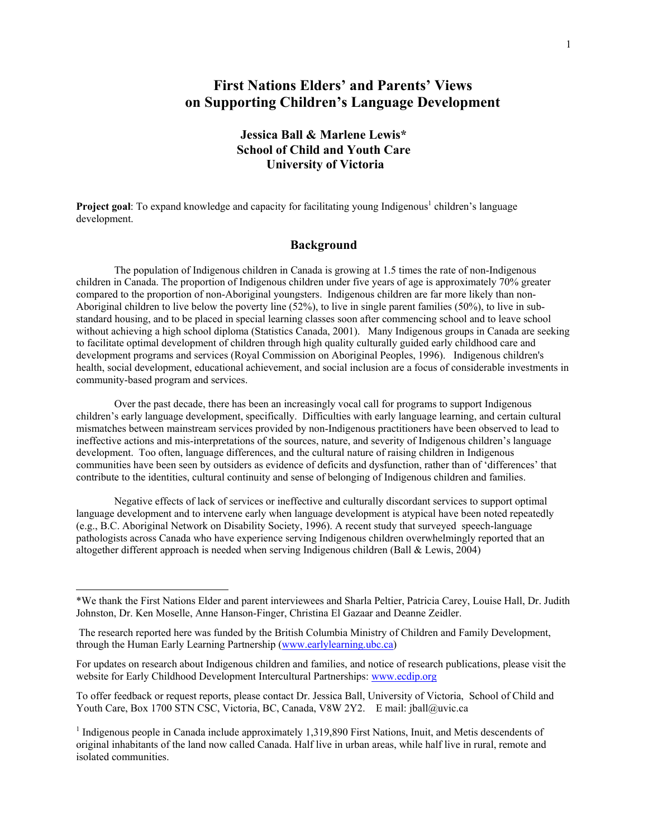# **First Nations Elders' and Parents' Views on Supporting Children's Language Development**

## **Jessica Ball & Marlene Lewis\* School of Child and Youth Care University of Victoria**

Project goal: To expand knowledge and capacity for facilitating young Indigenous<sup>1</sup> children's language development.

## **Background**

The population of Indigenous children in Canada is growing at 1.5 times the rate of non-Indigenous children in Canada. The proportion of Indigenous children under five years of age is approximately 70% greater compared to the proportion of non-Aboriginal youngsters. Indigenous children are far more likely than non-Aboriginal children to live below the poverty line (52%), to live in single parent families (50%), to live in substandard housing, and to be placed in special learning classes soon after commencing school and to leave school without achieving a high school diploma (Statistics Canada, 2001). Many Indigenous groups in Canada are seeking to facilitate optimal development of children through high quality culturally guided early childhood care and development programs and services (Royal Commission on Aboriginal Peoples, 1996). Indigenous children's health, social development, educational achievement, and social inclusion are a focus of considerable investments in community-based program and services.

Over the past decade, there has been an increasingly vocal call for programs to support Indigenous children's early language development, specifically. Difficulties with early language learning, and certain cultural mismatches between mainstream services provided by non-Indigenous practitioners have been observed to lead to ineffective actions and mis-interpretations of the sources, nature, and severity of Indigenous children's language development. Too often, language differences, and the cultural nature of raising children in Indigenous communities have been seen by outsiders as evidence of deficits and dysfunction, rather than of 'differences' that contribute to the identities, cultural continuity and sense of belonging of Indigenous children and families.

Negative effects of lack of services or ineffective and culturally discordant services to support optimal language development and to intervene early when language development is atypical have been noted repeatedly (e.g., B.C. Aboriginal Network on Disability Society, 1996). A recent study that surveyed speech-language pathologists across Canada who have experience serving Indigenous children overwhelmingly reported that an altogether different approach is needed when serving Indigenous children (Ball & Lewis, 2004)

1

To offer feedback or request reports, please contact Dr. Jessica Ball, University of Victoria, School of Child and Youth Care, Box 1700 STN CSC, Victoria, BC, Canada, V8W 2Y2. E mail: jball@uvic.ca

<sup>\*</sup>We thank the First Nations Elder and parent interviewees and Sharla Peltier, Patricia Carey, Louise Hall, Dr. Judith Johnston, Dr. Ken Moselle, Anne Hanson-Finger, Christina El Gazaar and Deanne Zeidler.

The research reported here was funded by the British Columbia Ministry of Children and Family Development, through the Human Early Learning Partnership (www.earlylearning.ubc.ca)

For updates on research about Indigenous children and families, and notice of research publications, please visit the website for Early Childhood Development Intercultural Partnerships: www.ecdip.org

<sup>&</sup>lt;sup>1</sup> Indigenous people in Canada include approximately 1,319,890 First Nations, Inuit, and Metis descendents of original inhabitants of the land now called Canada. Half live in urban areas, while half live in rural, remote and isolated communities.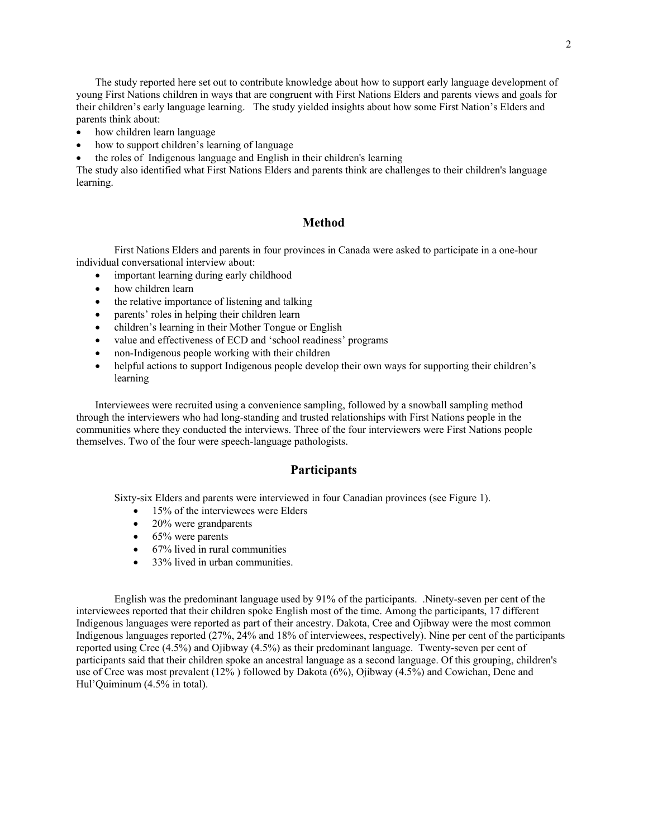The study reported here set out to contribute knowledge about how to support early language development of young First Nations children in ways that are congruent with First Nations Elders and parents views and goals for their children's early language learning. The study yielded insights about how some First Nation's Elders and parents think about:

- how children learn language
- how to support children's learning of language
- the roles of Indigenous language and English in their children's learning

The study also identified what First Nations Elders and parents think are challenges to their children's language learning.

## **Method**

First Nations Elders and parents in four provinces in Canada were asked to participate in a one-hour individual conversational interview about:

- important learning during early childhood
- how children learn
- the relative importance of listening and talking
- parents' roles in helping their children learn
- children's learning in their Mother Tongue or English
- value and effectiveness of ECD and 'school readiness' programs
- non-Indigenous people working with their children
- helpful actions to support Indigenous people develop their own ways for supporting their children's learning

Interviewees were recruited using a convenience sampling, followed by a snowball sampling method through the interviewers who had long-standing and trusted relationships with First Nations people in the communities where they conducted the interviews. Three of the four interviewers were First Nations people themselves. Two of the four were speech-language pathologists.

#### **Participants**

Sixty-six Elders and parents were interviewed in four Canadian provinces (see Figure 1).

- 15% of the interviewees were Elders
- 20% were grandparents
- $\bullet$  65% were parents
- 67% lived in rural communities
- 33% lived in urban communities

English was the predominant language used by 91% of the participants. .Ninety-seven per cent of the interviewees reported that their children spoke English most of the time. Among the participants, 17 different Indigenous languages were reported as part of their ancestry. Dakota, Cree and Ojibway were the most common Indigenous languages reported (27%, 24% and 18% of interviewees, respectively). Nine per cent of the participants reported using Cree (4.5%) and Ojibway (4.5%) as their predominant language. Twenty-seven per cent of participants said that their children spoke an ancestral language as a second language. Of this grouping, children's use of Cree was most prevalent (12% ) followed by Dakota (6%), Ojibway (4.5%) and Cowichan, Dene and Hul'Quiminum (4.5% in total).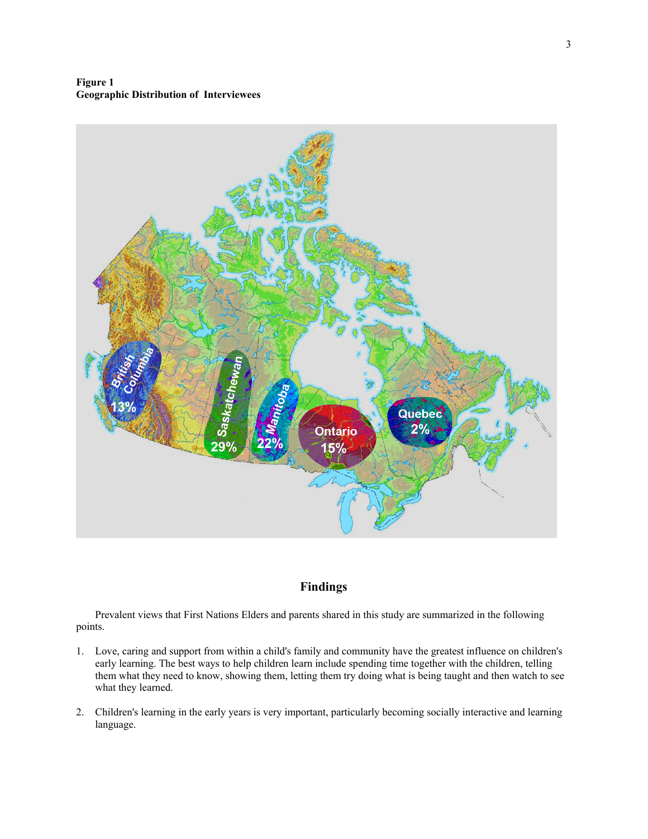**Figure 1 Geographic Distribution of Interviewees** 



## **Findings**

Prevalent views that First Nations Elders and parents shared in this study are summarized in the following points.

- 1. Love, caring and support from within a child's family and community have the greatest influence on children's early learning. The best ways to help children learn include spending time together with the children, telling them what they need to know, showing them, letting them try doing what is being taught and then watch to see what they learned.
- 2. Children's learning in the early years is very important, particularly becoming socially interactive and learning language.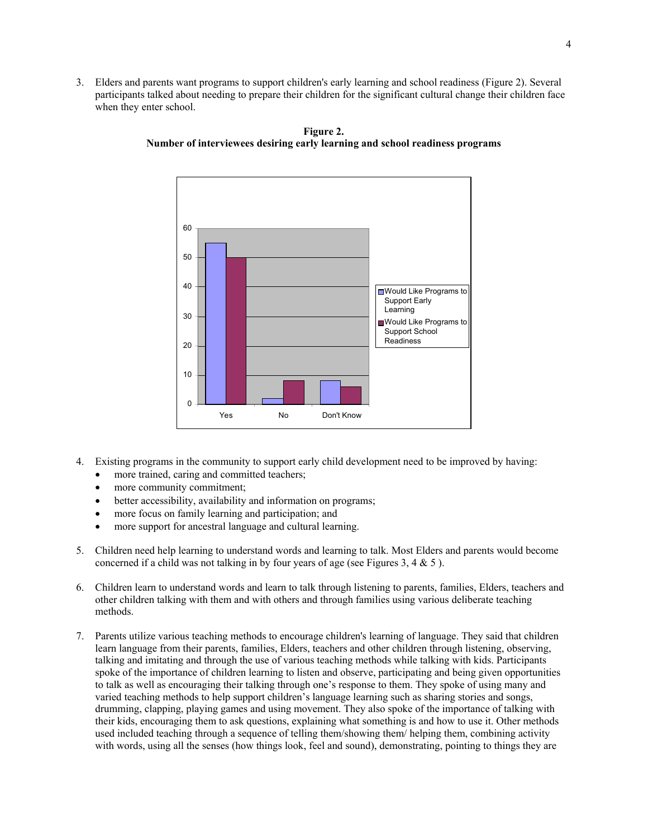3. Elders and parents want programs to support children's early learning and school readiness (Figure 2). Several participants talked about needing to prepare their children for the significant cultural change their children face when they enter school.



**Figure 2. Number of interviewees desiring early learning and school readiness programs** 

- 4. Existing programs in the community to support early child development need to be improved by having:
	- more trained, caring and committed teachers;
	- more community commitment:
	- better accessibility, availability and information on programs;
	- more focus on family learning and participation; and
	- more support for ancestral language and cultural learning.
- 5. Children need help learning to understand words and learning to talk. Most Elders and parents would become concerned if a child was not talking in by four years of age (see Figures 3, 4  $\&$  5).
- 6. Children learn to understand words and learn to talk through listening to parents, families, Elders, teachers and other children talking with them and with others and through families using various deliberate teaching methods.
- 7. Parents utilize various teaching methods to encourage children's learning of language. They said that children learn language from their parents, families, Elders, teachers and other children through listening, observing, talking and imitating and through the use of various teaching methods while talking with kids. Participants spoke of the importance of children learning to listen and observe, participating and being given opportunities to talk as well as encouraging their talking through one's response to them. They spoke of using many and varied teaching methods to help support children's language learning such as sharing stories and songs, drumming, clapping, playing games and using movement. They also spoke of the importance of talking with their kids, encouraging them to ask questions, explaining what something is and how to use it. Other methods used included teaching through a sequence of telling them/showing them/ helping them, combining activity with words, using all the senses (how things look, feel and sound), demonstrating, pointing to things they are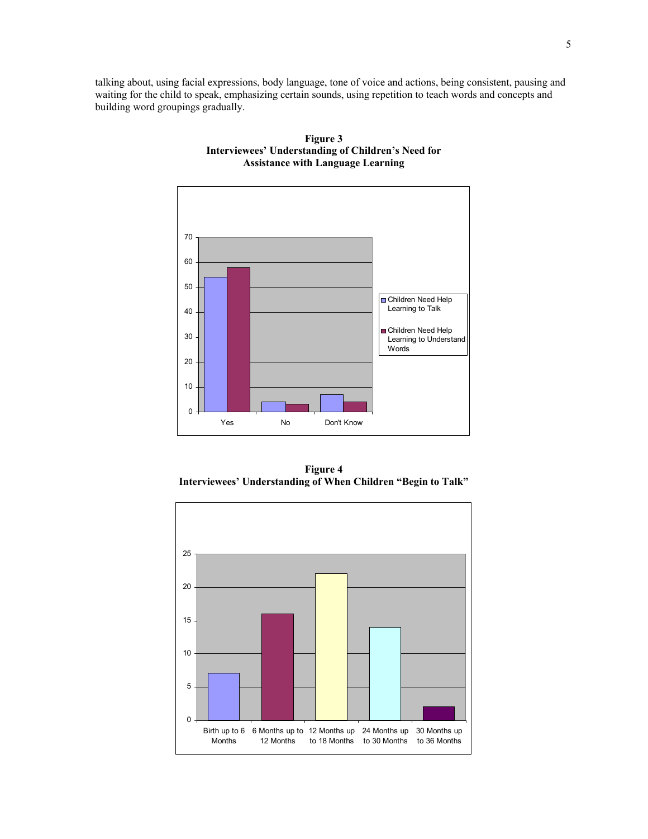talking about, using facial expressions, body language, tone of voice and actions, being consistent, pausing and waiting for the child to speak, emphasizing certain sounds, using repetition to teach words and concepts and building word groupings gradually.



**Figure 3 Interviewees' Understanding of Children's Need for Assistance with Language Learning** 

**Figure 4 Interviewees' Understanding of When Children "Begin to Talk"** 

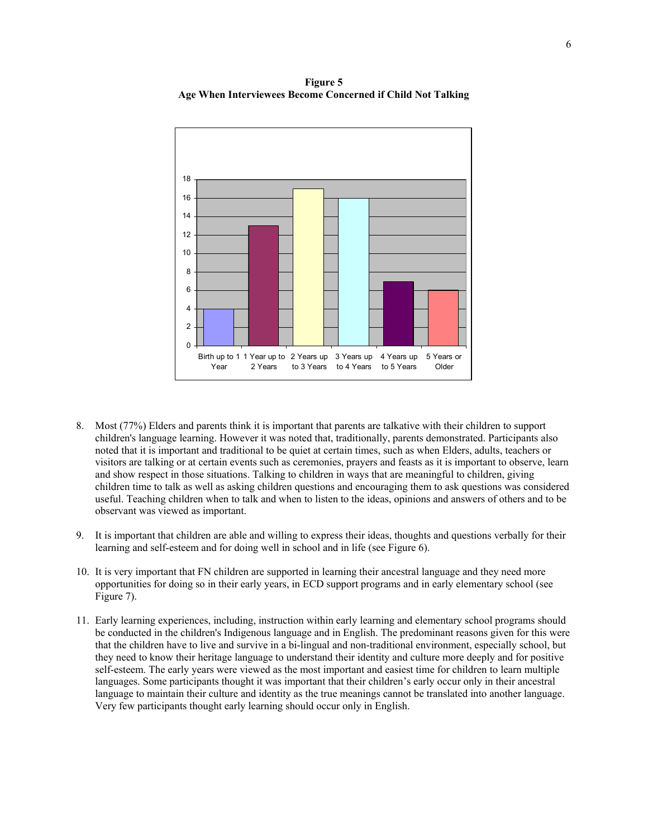**Figure 5 Age When Interviewees Become Concerned if Child Not Talking** 



- 8. Most (77%) Elders and parents think it is important that parents are talkative with their children to support children's language learning. However it was noted that, traditionally, parents demonstrated. Participants also noted that it is important and traditional to be quiet at certain times, such as when Elders, adults, teachers or visitors are talking or at certain events such as ceremonies, prayers and feasts as it is important to observe, learn and show respect in those situations. Talking to children in ways that are meaningful to children, giving children time to talk as well as asking children questions and encouraging them to ask questions was considered useful. Teaching children when to talk and when to listen to the ideas, opinions and answers of others and to be observant was viewed as important.
- 9. It is important that children are able and willing to express their ideas, thoughts and questions verbally for their learning and self-esteem and for doing well in school and in life (see Figure 6).
- 10. It is very important that FN children are supported in learning their ancestral language and they need more opportunities for doing so in their early years, in ECD support programs and in early elementary school (see Figure 7).
- 11. Early learning experiences, including, instruction within early learning and elementary school programs should be conducted in the children's Indigenous language and in English. The predominant reasons given for this were that the children have to live and survive in a bi-lingual and non-traditional environment, especially school, but they need to know their heritage language to understand their identity and culture more deeply and for positive self-esteem. The early years were viewed as the most important and easiest time for children to learn multiple languages. Some participants thought it was important that their children's early occur only in their ancestral language to maintain their culture and identity as the true meanings cannot be translated into another language. Very few participants thought early learning should occur only in English.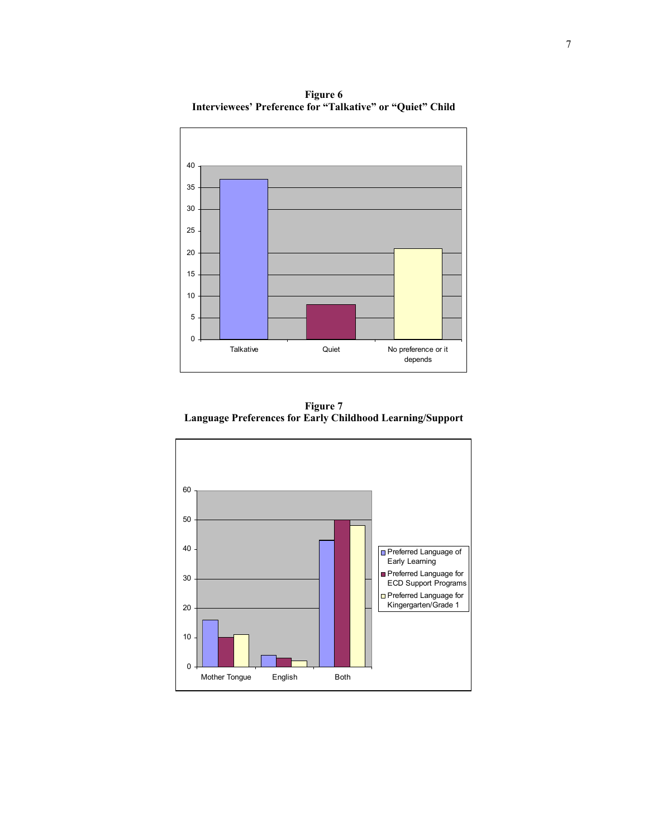0 5 10 15 20 25 30 35 40 Talkative **Cuiet** Quiet **No preference or it** depends

**Figure 6 Interviewees' Preference for "Talkative" or "Quiet" Child** 

**Figure 7 Language Preferences for Early Childhood Learning/Support** 

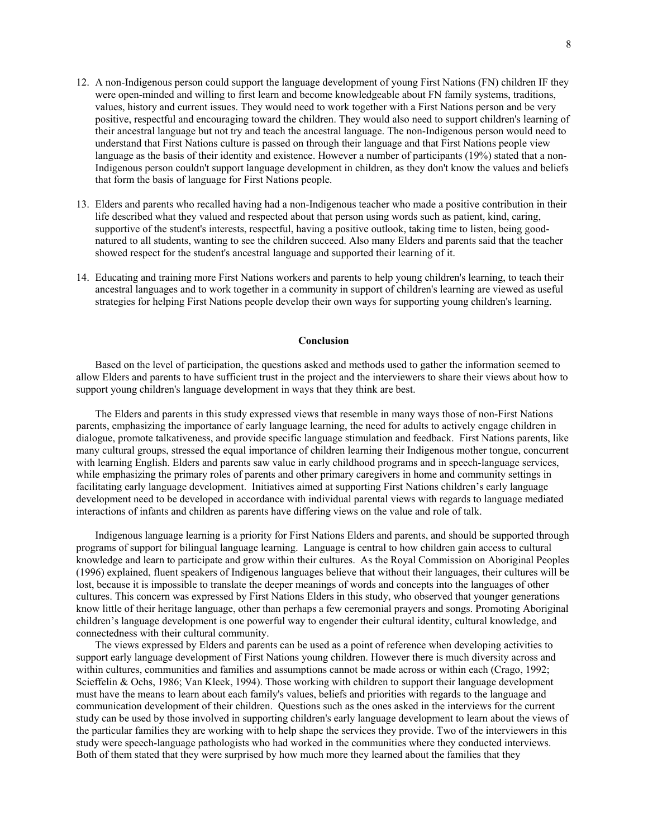- 12. A non-Indigenous person could support the language development of young First Nations (FN) children IF they were open-minded and willing to first learn and become knowledgeable about FN family systems, traditions, values, history and current issues. They would need to work together with a First Nations person and be very positive, respectful and encouraging toward the children. They would also need to support children's learning of their ancestral language but not try and teach the ancestral language. The non-Indigenous person would need to understand that First Nations culture is passed on through their language and that First Nations people view language as the basis of their identity and existence. However a number of participants (19%) stated that a non-Indigenous person couldn't support language development in children, as they don't know the values and beliefs that form the basis of language for First Nations people.
- 13. Elders and parents who recalled having had a non-Indigenous teacher who made a positive contribution in their life described what they valued and respected about that person using words such as patient, kind, caring, supportive of the student's interests, respectful, having a positive outlook, taking time to listen, being goodnatured to all students, wanting to see the children succeed. Also many Elders and parents said that the teacher showed respect for the student's ancestral language and supported their learning of it.
- 14. Educating and training more First Nations workers and parents to help young children's learning, to teach their ancestral languages and to work together in a community in support of children's learning are viewed as useful strategies for helping First Nations people develop their own ways for supporting young children's learning.

#### **Conclusion**

Based on the level of participation, the questions asked and methods used to gather the information seemed to allow Elders and parents to have sufficient trust in the project and the interviewers to share their views about how to support young children's language development in ways that they think are best.

The Elders and parents in this study expressed views that resemble in many ways those of non-First Nations parents, emphasizing the importance of early language learning, the need for adults to actively engage children in dialogue, promote talkativeness, and provide specific language stimulation and feedback. First Nations parents, like many cultural groups, stressed the equal importance of children learning their Indigenous mother tongue, concurrent with learning English. Elders and parents saw value in early childhood programs and in speech-language services, while emphasizing the primary roles of parents and other primary caregivers in home and community settings in facilitating early language development. Initiatives aimed at supporting First Nations children's early language development need to be developed in accordance with individual parental views with regards to language mediated interactions of infants and children as parents have differing views on the value and role of talk.

Indigenous language learning is a priority for First Nations Elders and parents, and should be supported through programs of support for bilingual language learning. Language is central to how children gain access to cultural knowledge and learn to participate and grow within their cultures. As the Royal Commission on Aboriginal Peoples (1996) explained, fluent speakers of Indigenous languages believe that without their languages, their cultures will be lost, because it is impossible to translate the deeper meanings of words and concepts into the languages of other cultures. This concern was expressed by First Nations Elders in this study, who observed that younger generations know little of their heritage language, other than perhaps a few ceremonial prayers and songs. Promoting Aboriginal children's language development is one powerful way to engender their cultural identity, cultural knowledge, and connectedness with their cultural community.

The views expressed by Elders and parents can be used as a point of reference when developing activities to support early language development of First Nations young children. However there is much diversity across and within cultures, communities and families and assumptions cannot be made across or within each (Crago, 1992; Scieffelin & Ochs, 1986; Van Kleek, 1994). Those working with children to support their language development must have the means to learn about each family's values, beliefs and priorities with regards to the language and communication development of their children. Questions such as the ones asked in the interviews for the current study can be used by those involved in supporting children's early language development to learn about the views of the particular families they are working with to help shape the services they provide. Two of the interviewers in this study were speech-language pathologists who had worked in the communities where they conducted interviews. Both of them stated that they were surprised by how much more they learned about the families that they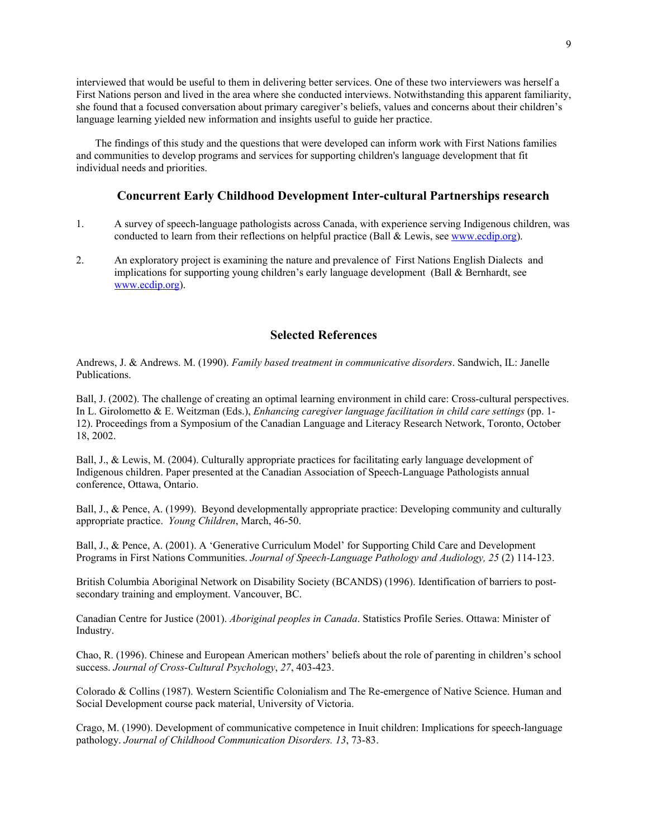interviewed that would be useful to them in delivering better services. One of these two interviewers was herself a First Nations person and lived in the area where she conducted interviews. Notwithstanding this apparent familiarity, she found that a focused conversation about primary caregiver's beliefs, values and concerns about their children's language learning yielded new information and insights useful to guide her practice.

The findings of this study and the questions that were developed can inform work with First Nations families and communities to develop programs and services for supporting children's language development that fit individual needs and priorities.

### **Concurrent Early Childhood Development Inter-cultural Partnerships research**

- 1. A survey of speech-language pathologists across Canada, with experience serving Indigenous children, was conducted to learn from their reflections on helpful practice (Ball & Lewis, see www.ecdip.org).
- 2. An exploratory project is examining the nature and prevalence of First Nations English Dialects and implications for supporting young children's early language development (Ball & Bernhardt, see www.ecdip.org).

## **Selected References**

Andrews, J. & Andrews. M. (1990). *Family based treatment in communicative disorders*. Sandwich, IL: Janelle Publications.

Ball, J. (2002). The challenge of creating an optimal learning environment in child care: Cross-cultural perspectives. In L. Girolometto & E. Weitzman (Eds.), *Enhancing caregiver language facilitation in child care settings* (pp. 1- 12). Proceedings from a Symposium of the Canadian Language and Literacy Research Network, Toronto, October 18, 2002.

Ball, J., & Lewis, M. (2004). Culturally appropriate practices for facilitating early language development of Indigenous children. Paper presented at the Canadian Association of Speech-Language Pathologists annual conference, Ottawa, Ontario.

Ball, J., & Pence, A. (1999). Beyond developmentally appropriate practice: Developing community and culturally appropriate practice. *Young Children*, March, 46-50.

Ball, J., & Pence, A. (2001). A 'Generative Curriculum Model' for Supporting Child Care and Development Programs in First Nations Communities. *Journal of Speech-Language Pathology and Audiology, 25* (2) 114-123.

British Columbia Aboriginal Network on Disability Society (BCANDS) (1996). Identification of barriers to postsecondary training and employment. Vancouver, BC.

Canadian Centre for Justice (2001). *Aboriginal peoples in Canada*. Statistics Profile Series. Ottawa: Minister of Industry.

Chao, R. (1996). Chinese and European American mothers' beliefs about the role of parenting in children's school success. *Journal of Cross-Cultural Psychology*, *27*, 403-423.

Colorado & Collins (1987). Western Scientific Colonialism and The Re-emergence of Native Science. Human and Social Development course pack material, University of Victoria.

Crago, M. (1990). Development of communicative competence in Inuit children: Implications for speech-language pathology. *Journal of Childhood Communication Disorders. 13*, 73-83.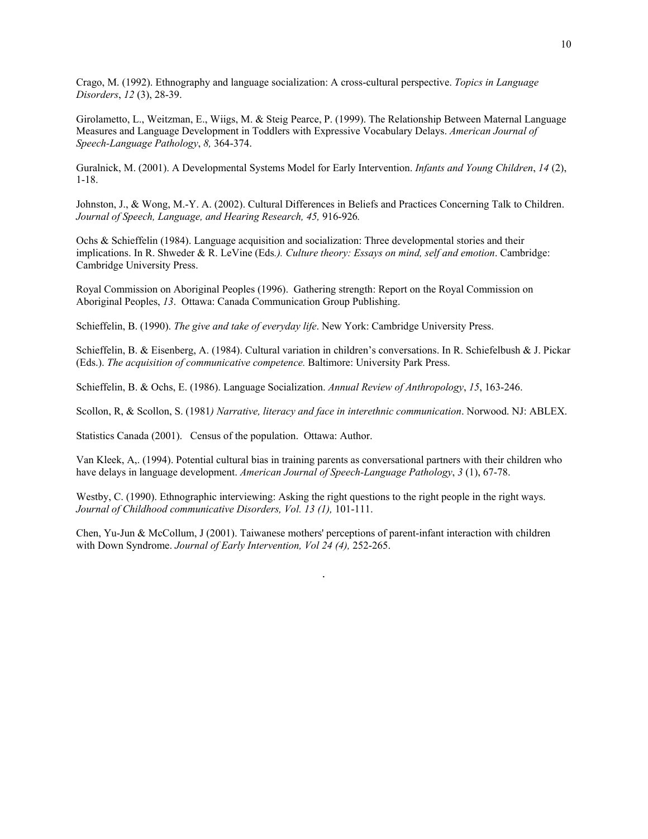Crago, M. (1992). Ethnography and language socialization: A cross-cultural perspective. *Topics in Language Disorders*, *12* (3), 28-39.

Girolametto, L., Weitzman, E., Wiigs, M. & Steig Pearce, P. (1999). The Relationship Between Maternal Language Measures and Language Development in Toddlers with Expressive Vocabulary Delays. *American Journal of Speech-Language Pathology*, *8,* 364-374.

Guralnick, M. (2001). A Developmental Systems Model for Early Intervention. *Infants and Young Children*, *14* (2), 1-18.

Johnston, J., & Wong, M.-Y. A. (2002). Cultural Differences in Beliefs and Practices Concerning Talk to Children. *Journal of Speech, Language, and Hearing Research, 45,* 916-926*.*

Ochs & Schieffelin (1984). Language acquisition and socialization: Three developmental stories and their implications. In R. Shweder & R. LeVine (Eds*.). Culture theory: Essays on mind, self and emotion*. Cambridge: Cambridge University Press.

Royal Commission on Aboriginal Peoples (1996). Gathering strength: Report on the Royal Commission on Aboriginal Peoples, *13*. Ottawa: Canada Communication Group Publishing.

Schieffelin, B. (1990). *The give and take of everyday life*. New York: Cambridge University Press.

Schieffelin, B. & Eisenberg, A. (1984). Cultural variation in children's conversations. In R. Schiefelbush & J. Pickar (Eds.). *The acquisition of communicative competence.* Baltimore: University Park Press.

Schieffelin, B. & Ochs, E. (1986). Language Socialization. *Annual Review of Anthropology*, *15*, 163-246.

Scollon, R, & Scollon, S. (1981*) Narrative, literacy and face in interethnic communication*. Norwood. NJ: ABLEX.

Statistics Canada (2001). Census of the population. Ottawa: Author.

Van Kleek, A,. (1994). Potential cultural bias in training parents as conversational partners with their children who have delays in language development. *American Journal of Speech-Language Pathology*, *3* (1), 67-78.

Westby, C. (1990). Ethnographic interviewing: Asking the right questions to the right people in the right ways. *Journal of Childhood communicative Disorders, Vol. 13 (1),* 101-111.

Chen, Yu-Jun & McCollum, J (2001). Taiwanese mothers' perceptions of parent-infant interaction with children with Down Syndrome. *Journal of Early Intervention, Vol 24 (4),* 252-265.

.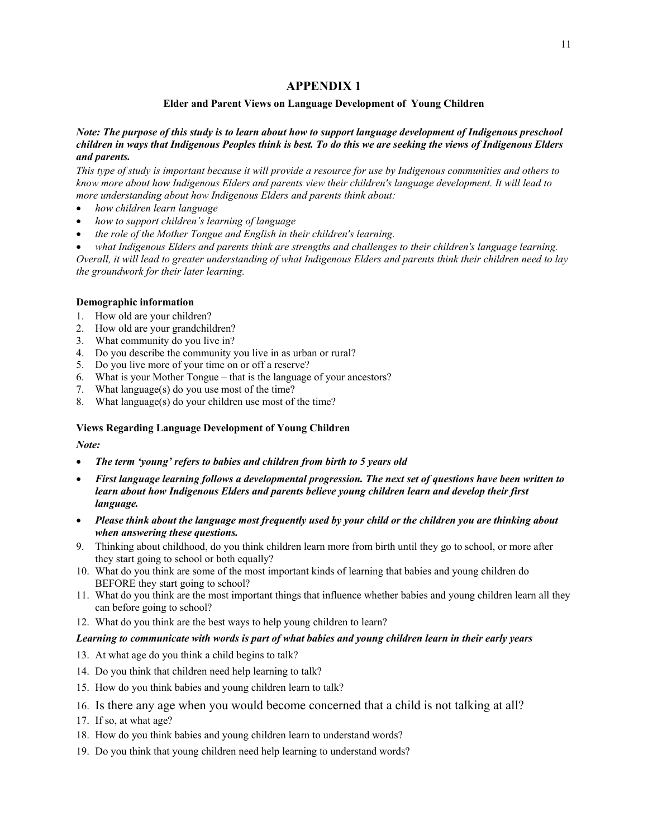## **APPENDIX 1**

### **Elder and Parent Views on Language Development of Young Children**

#### *Note: The purpose of this study is to learn about how to support language development of Indigenous preschool children in ways that Indigenous Peoples think is best. To do this we are seeking the views of Indigenous Elders and parents.*

*This type of study is important because it will provide a resource for use by Indigenous communities and others to know more about how Indigenous Elders and parents view their children's language development. It will lead to more understanding about how Indigenous Elders and parents think about:* 

- *how children learn language*
- *how to support children's learning of language*
- *the role of the Mother Tongue and English in their children's learning.*
- *what Indigenous Elders and parents think are strengths and challenges to their children's language learning.*

*Overall, it will lead to greater understanding of what Indigenous Elders and parents think their children need to lay the groundwork for their later learning.* 

#### **Demographic information**

- 1. How old are your children?
- 2. How old are your grandchildren?
- 3. What community do you live in?
- 4. Do you describe the community you live in as urban or rural?
- 5. Do you live more of your time on or off a reserve?
- 6. What is your Mother Tongue that is the language of your ancestors?
- 7. What language(s) do you use most of the time?
- 8. What language(s) do your children use most of the time?

#### **Views Regarding Language Development of Young Children**

#### *Note:*

- *The term 'young' refers to babies and children from birth to 5 years old*
- *First language learning follows a developmental progression. The next set of questions have been written to learn about how Indigenous Elders and parents believe young children learn and develop their first language.*
- *Please think about the language most frequently used by your child or the children you are thinking about when answering these questions.*
- 9. Thinking about childhood, do you think children learn more from birth until they go to school, or more after they start going to school or both equally?
- 10. What do you think are some of the most important kinds of learning that babies and young children do BEFORE they start going to school?
- 11. What do you think are the most important things that influence whether babies and young children learn all they can before going to school?
- 12. What do you think are the best ways to help young children to learn?

#### *Learning to communicate with words is part of what babies and young children learn in their early years*

- 13. At what age do you think a child begins to talk?
- 14. Do you think that children need help learning to talk?
- 15. How do you think babies and young children learn to talk?
- 16. Is there any age when you would become concerned that a child is not talking at all?
- 17. If so, at what age?
- 18. How do you think babies and young children learn to understand words?
- 19. Do you think that young children need help learning to understand words?